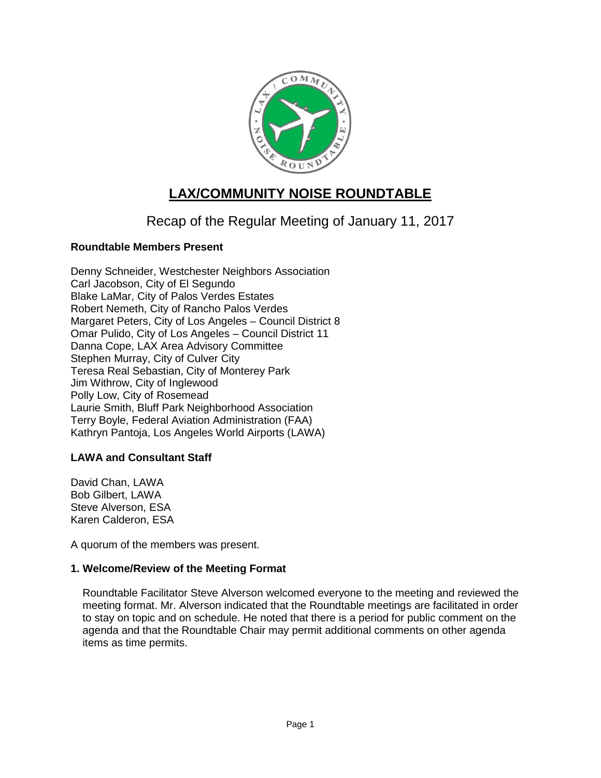

# **LAX/COMMUNITY NOISE ROUNDTABLE**

## Recap of the Regular Meeting of January 11, 2017

## **Roundtable Members Present**

Denny Schneider, Westchester Neighbors Association Carl Jacobson, City of El Segundo Blake LaMar, City of Palos Verdes Estates Robert Nemeth, City of Rancho Palos Verdes Margaret Peters, City of Los Angeles – Council District 8 Omar Pulido, City of Los Angeles – Council District 11 Danna Cope, LAX Area Advisory Committee Stephen Murray, City of Culver City Teresa Real Sebastian, City of Monterey Park Jim Withrow, City of Inglewood Polly Low, City of Rosemead Laurie Smith, Bluff Park Neighborhood Association Terry Boyle, Federal Aviation Administration (FAA) Kathryn Pantoja, Los Angeles World Airports (LAWA)

#### **LAWA and Consultant Staff**

David Chan, LAWA Bob Gilbert, LAWA Steve Alverson, ESA Karen Calderon, ESA

A quorum of the members was present.

#### **1. Welcome/Review of the Meeting Format**

Roundtable Facilitator Steve Alverson welcomed everyone to the meeting and reviewed the meeting format. Mr. Alverson indicated that the Roundtable meetings are facilitated in order to stay on topic and on schedule. He noted that there is a period for public comment on the agenda and that the Roundtable Chair may permit additional comments on other agenda items as time permits.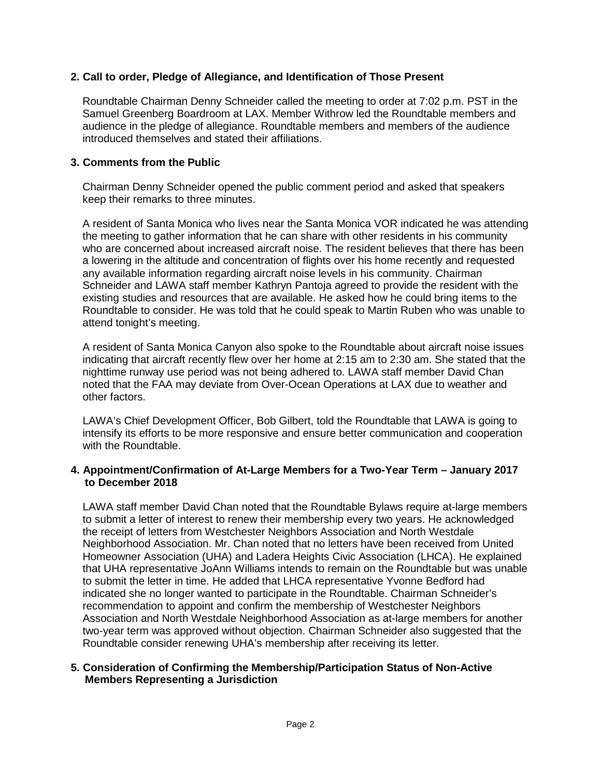## **2. Call to order, Pledge of Allegiance, and Identification of Those Present**

Roundtable Chairman Denny Schneider called the meeting to order at 7:02 p.m. PST in the Samuel Greenberg Boardroom at LAX. Member Withrow led the Roundtable members and audience in the pledge of allegiance. Roundtable members and members of the audience introduced themselves and stated their affiliations.

#### **3. Comments from the Public**

Chairman Denny Schneider opened the public comment period and asked that speakers keep their remarks to three minutes.

A resident of Santa Monica who lives near the Santa Monica VOR indicated he was attending the meeting to gather information that he can share with other residents in his community who are concerned about increased aircraft noise. The resident believes that there has been a lowering in the altitude and concentration of flights over his home recently and requested any available information regarding aircraft noise levels in his community. Chairman Schneider and LAWA staff member Kathryn Pantoja agreed to provide the resident with the existing studies and resources that are available. He asked how he could bring items to the Roundtable to consider. He was told that he could speak to Martin Ruben who was unable to attend tonight's meeting.

A resident of Santa Monica Canyon also spoke to the Roundtable about aircraft noise issues indicating that aircraft recently flew over her home at 2:15 am to 2:30 am. She stated that the nighttime runway use period was not being adhered to. LAWA staff member David Chan noted that the FAA may deviate from Over-Ocean Operations at LAX due to weather and other factors.

LAWA's Chief Development Officer, Bob Gilbert, told the Roundtable that LAWA is going to intensify its efforts to be more responsive and ensure better communication and cooperation with the Roundtable.

#### **4. Appointment/Confirmation of At-Large Members for a Two-Year Term – January 2017 to December 2018**

LAWA staff member David Chan noted that the Roundtable Bylaws require at-large members to submit a letter of interest to renew their membership every two years. He acknowledged the receipt of letters from Westchester Neighbors Association and North Westdale Neighborhood Association. Mr. Chan noted that no letters have been received from United Homeowner Association (UHA) and Ladera Heights Civic Association (LHCA). He explained that UHA representative JoAnn Williams intends to remain on the Roundtable but was unable to submit the letter in time. He added that LHCA representative Yvonne Bedford had indicated she no longer wanted to participate in the Roundtable. Chairman Schneider's recommendation to appoint and confirm the membership of Westchester Neighbors Association and North Westdale Neighborhood Association as at-large members for another two-year term was approved without objection. Chairman Schneider also suggested that the Roundtable consider renewing UHA's membership after receiving its letter.

#### **5. Consideration of Confirming the Membership/Participation Status of Non-Active Members Representing a Jurisdiction**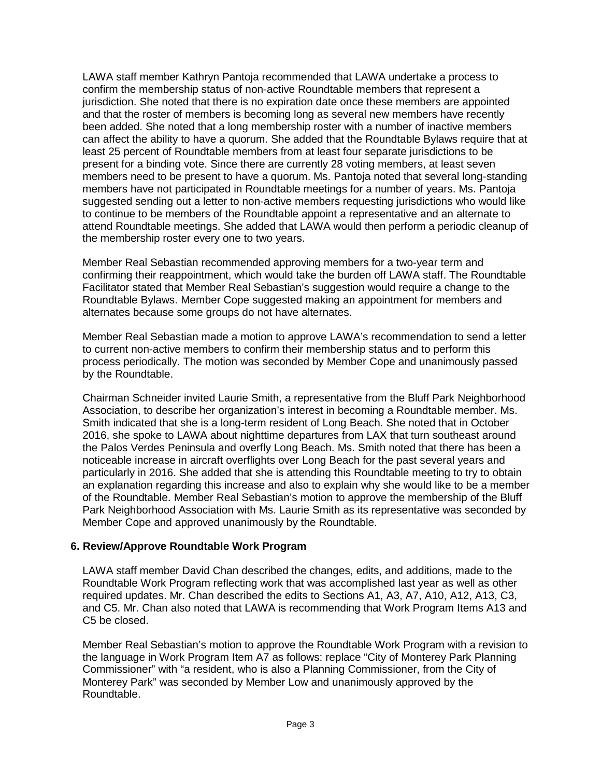LAWA staff member Kathryn Pantoja recommended that LAWA undertake a process to confirm the membership status of non-active Roundtable members that represent a jurisdiction. She noted that there is no expiration date once these members are appointed and that the roster of members is becoming long as several new members have recently been added. She noted that a long membership roster with a number of inactive members can affect the ability to have a quorum. She added that the Roundtable Bylaws require that at least 25 percent of Roundtable members from at least four separate jurisdictions to be present for a binding vote. Since there are currently 28 voting members, at least seven members need to be present to have a quorum. Ms. Pantoja noted that several long-standing members have not participated in Roundtable meetings for a number of years. Ms. Pantoja suggested sending out a letter to non-active members requesting jurisdictions who would like to continue to be members of the Roundtable appoint a representative and an alternate to attend Roundtable meetings. She added that LAWA would then perform a periodic cleanup of the membership roster every one to two years.

Member Real Sebastian recommended approving members for a two-year term and confirming their reappointment, which would take the burden off LAWA staff. The Roundtable Facilitator stated that Member Real Sebastian's suggestion would require a change to the Roundtable Bylaws. Member Cope suggested making an appointment for members and alternates because some groups do not have alternates.

Member Real Sebastian made a motion to approve LAWA's recommendation to send a letter to current non-active members to confirm their membership status and to perform this process periodically. The motion was seconded by Member Cope and unanimously passed by the Roundtable.

Chairman Schneider invited Laurie Smith, a representative from the Bluff Park Neighborhood Association, to describe her organization's interest in becoming a Roundtable member. Ms. Smith indicated that she is a long-term resident of Long Beach. She noted that in October 2016, she spoke to LAWA about nighttime departures from LAX that turn southeast around the Palos Verdes Peninsula and overfly Long Beach. Ms. Smith noted that there has been a noticeable increase in aircraft overflights over Long Beach for the past several years and particularly in 2016. She added that she is attending this Roundtable meeting to try to obtain an explanation regarding this increase and also to explain why she would like to be a member of the Roundtable. Member Real Sebastian's motion to approve the membership of the Bluff Park Neighborhood Association with Ms. Laurie Smith as its representative was seconded by Member Cope and approved unanimously by the Roundtable.

#### **6. Review/Approve Roundtable Work Program**

LAWA staff member David Chan described the changes, edits, and additions, made to the Roundtable Work Program reflecting work that was accomplished last year as well as other required updates. Mr. Chan described the edits to Sections A1, A3, A7, A10, A12, A13, C3, and C5. Mr. Chan also noted that LAWA is recommending that Work Program Items A13 and C5 be closed.

Member Real Sebastian's motion to approve the Roundtable Work Program with a revision to the language in Work Program Item A7 as follows: replace "City of Monterey Park Planning Commissioner" with "a resident, who is also a Planning Commissioner, from the City of Monterey Park" was seconded by Member Low and unanimously approved by the Roundtable.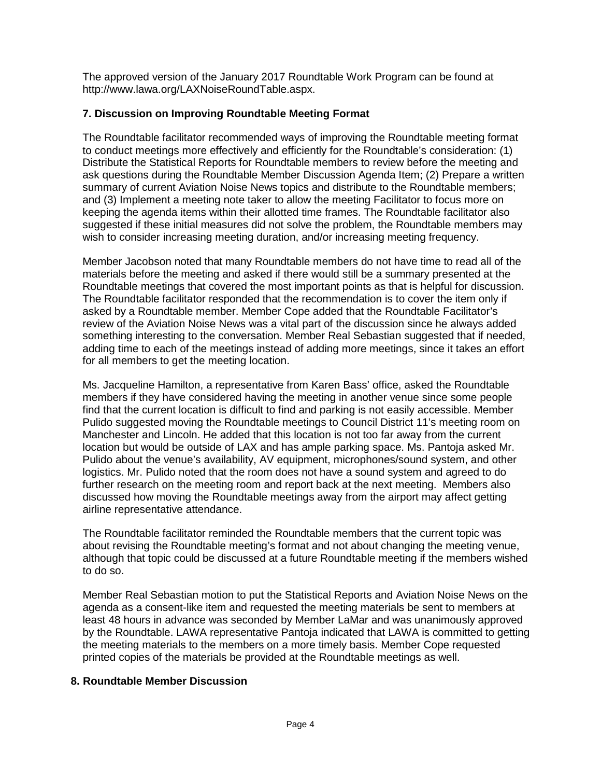The approved version of the January 2017 Roundtable Work Program can be found at [http://www.lawa.org/LAXNoiseRoundTable.aspx.](http://www.lawa.org/LAXNoiseRoundTable.aspx)

## **7. Discussion on Improving Roundtable Meeting Format**

The Roundtable facilitator recommended ways of improving the Roundtable meeting format to conduct meetings more effectively and efficiently for the Roundtable's consideration: (1) Distribute the Statistical Reports for Roundtable members to review before the meeting and ask questions during the Roundtable Member Discussion Agenda Item; (2) Prepare a written summary of current Aviation Noise News topics and distribute to the Roundtable members; and (3) Implement a meeting note taker to allow the meeting Facilitator to focus more on keeping the agenda items within their allotted time frames. The Roundtable facilitator also suggested if these initial measures did not solve the problem, the Roundtable members may wish to consider increasing meeting duration, and/or increasing meeting frequency.

Member Jacobson noted that many Roundtable members do not have time to read all of the materials before the meeting and asked if there would still be a summary presented at the Roundtable meetings that covered the most important points as that is helpful for discussion. The Roundtable facilitator responded that the recommendation is to cover the item only if asked by a Roundtable member. Member Cope added that the Roundtable Facilitator's review of the Aviation Noise News was a vital part of the discussion since he always added something interesting to the conversation. Member Real Sebastian suggested that if needed, adding time to each of the meetings instead of adding more meetings, since it takes an effort for all members to get the meeting location.

Ms. Jacqueline Hamilton, a representative from Karen Bass' office, asked the Roundtable members if they have considered having the meeting in another venue since some people find that the current location is difficult to find and parking is not easily accessible. Member Pulido suggested moving the Roundtable meetings to Council District 11's meeting room on Manchester and Lincoln. He added that this location is not too far away from the current location but would be outside of LAX and has ample parking space. Ms. Pantoja asked Mr. Pulido about the venue's availability, AV equipment, microphones/sound system, and other logistics. Mr. Pulido noted that the room does not have a sound system and agreed to do further research on the meeting room and report back at the next meeting. Members also discussed how moving the Roundtable meetings away from the airport may affect getting airline representative attendance.

The Roundtable facilitator reminded the Roundtable members that the current topic was about revising the Roundtable meeting's format and not about changing the meeting venue, although that topic could be discussed at a future Roundtable meeting if the members wished to do so.

Member Real Sebastian motion to put the Statistical Reports and Aviation Noise News on the agenda as a consent-like item and requested the meeting materials be sent to members at least 48 hours in advance was seconded by Member LaMar and was unanimously approved by the Roundtable. LAWA representative Pantoja indicated that LAWA is committed to getting the meeting materials to the members on a more timely basis. Member Cope requested printed copies of the materials be provided at the Roundtable meetings as well.

## **8. Roundtable Member Discussion**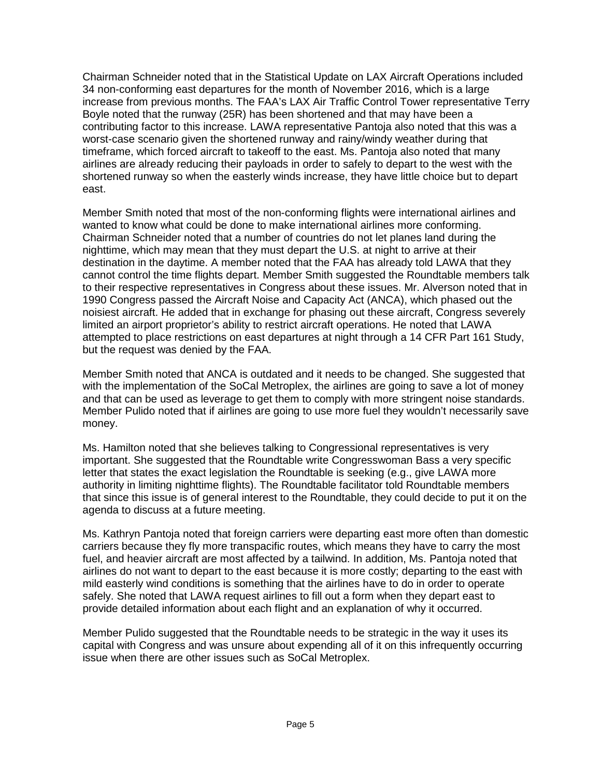Chairman Schneider noted that in the Statistical Update on LAX Aircraft Operations included 34 non-conforming east departures for the month of November 2016, which is a large increase from previous months. The FAA's LAX Air Traffic Control Tower representative Terry Boyle noted that the runway (25R) has been shortened and that may have been a contributing factor to this increase. LAWA representative Pantoja also noted that this was a worst-case scenario given the shortened runway and rainy/windy weather during that timeframe, which forced aircraft to takeoff to the east. Ms. Pantoja also noted that many airlines are already reducing their payloads in order to safely to depart to the west with the shortened runway so when the easterly winds increase, they have little choice but to depart east.

Member Smith noted that most of the non-conforming flights were international airlines and wanted to know what could be done to make international airlines more conforming. Chairman Schneider noted that a number of countries do not let planes land during the nighttime, which may mean that they must depart the U.S. at night to arrive at their destination in the daytime. A member noted that the FAA has already told LAWA that they cannot control the time flights depart. Member Smith suggested the Roundtable members talk to their respective representatives in Congress about these issues. Mr. Alverson noted that in 1990 Congress passed the Aircraft Noise and Capacity Act (ANCA), which phased out the noisiest aircraft. He added that in exchange for phasing out these aircraft, Congress severely limited an airport proprietor's ability to restrict aircraft operations. He noted that LAWA attempted to place restrictions on east departures at night through a 14 CFR Part 161 Study, but the request was denied by the FAA.

Member Smith noted that ANCA is outdated and it needs to be changed. She suggested that with the implementation of the SoCal Metroplex, the airlines are going to save a lot of money and that can be used as leverage to get them to comply with more stringent noise standards. Member Pulido noted that if airlines are going to use more fuel they wouldn't necessarily save money.

Ms. Hamilton noted that she believes talking to Congressional representatives is very important. She suggested that the Roundtable write Congresswoman Bass a very specific letter that states the exact legislation the Roundtable is seeking (e.g., give LAWA more authority in limiting nighttime flights). The Roundtable facilitator told Roundtable members that since this issue is of general interest to the Roundtable, they could decide to put it on the agenda to discuss at a future meeting.

Ms. Kathryn Pantoja noted that foreign carriers were departing east more often than domestic carriers because they fly more transpacific routes, which means they have to carry the most fuel, and heavier aircraft are most affected by a tailwind. In addition, Ms. Pantoja noted that airlines do not want to depart to the east because it is more costly; departing to the east with mild easterly wind conditions is something that the airlines have to do in order to operate safely. She noted that LAWA request airlines to fill out a form when they depart east to provide detailed information about each flight and an explanation of why it occurred.

Member Pulido suggested that the Roundtable needs to be strategic in the way it uses its capital with Congress and was unsure about expending all of it on this infrequently occurring issue when there are other issues such as SoCal Metroplex.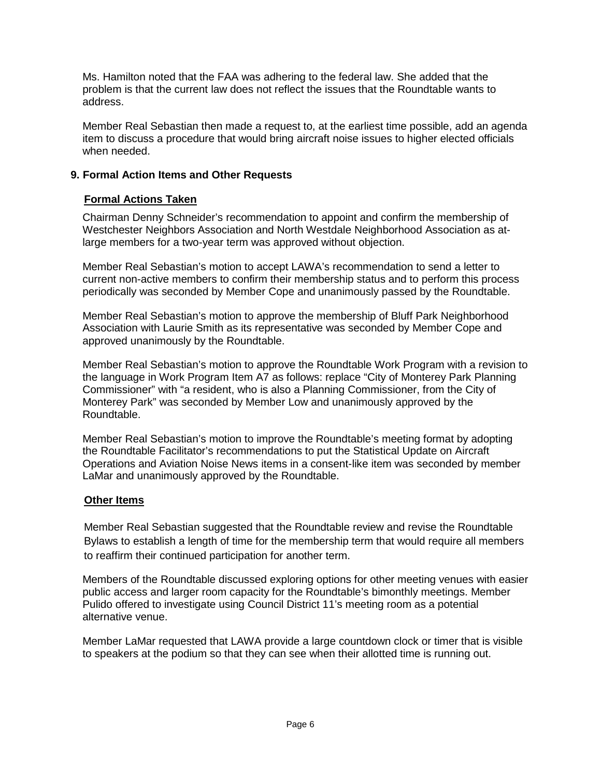Ms. Hamilton noted that the FAA was adhering to the federal law. She added that the problem is that the current law does not reflect the issues that the Roundtable wants to address.

Member Real Sebastian then made a request to, at the earliest time possible, add an agenda item to discuss a procedure that would bring aircraft noise issues to higher elected officials when needed.

## **9. Formal Action Items and Other Requests**

## **Formal Actions Taken**

Chairman Denny Schneider's recommendation to appoint and confirm the membership of Westchester Neighbors Association and North Westdale Neighborhood Association as atlarge members for a two-year term was approved without objection.

Member Real Sebastian's motion to accept LAWA's recommendation to send a letter to current non-active members to confirm their membership status and to perform this process periodically was seconded by Member Cope and unanimously passed by the Roundtable.

Member Real Sebastian's motion to approve the membership of Bluff Park Neighborhood Association with Laurie Smith as its representative was seconded by Member Cope and approved unanimously by the Roundtable.

Member Real Sebastian's motion to approve the Roundtable Work Program with a revision to the language in Work Program Item A7 as follows: replace "City of Monterey Park Planning Commissioner" with "a resident, who is also a Planning Commissioner, from the City of Monterey Park" was seconded by Member Low and unanimously approved by the Roundtable.

Member Real Sebastian's motion to improve the Roundtable's meeting format by adopting the Roundtable Facilitator's recommendations to put the Statistical Update on Aircraft Operations and Aviation Noise News items in a consent-like item was seconded by member LaMar and unanimously approved by the Roundtable.

## **Other Items**

Member Real Sebastian suggested that the Roundtable review and revise the Roundtable Bylaws to establish a length of time for the membership term that would require all members to reaffirm their continued participation for another term.

Members of the Roundtable discussed exploring options for other meeting venues with easier public access and larger room capacity for the Roundtable's bimonthly meetings. Member Pulido offered to investigate using Council District 11's meeting room as a potential alternative venue.

Member LaMar requested that LAWA provide a large countdown clock or timer that is visible to speakers at the podium so that they can see when their allotted time is running out.